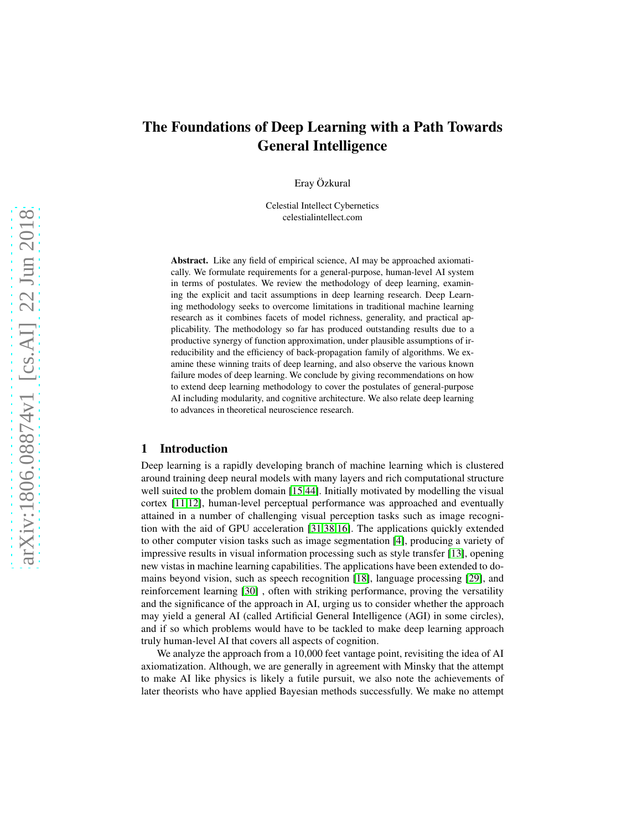# The Foundations of Deep Learning with a Path Towards General Intelligence

Eray Özkural

Celestial Intellect Cybernetics celestialintellect.com

Abstract. Like any field of empirical science, AI may be approached axiomatically. We formulate requirements for a general-purpose, human-level AI system in terms of postulates. We review the methodology of deep learning, examining the explicit and tacit assumptions in deep learning research. Deep Learning methodology seeks to overcome limitations in traditional machine learning research as it combines facets of model richness, generality, and practical applicability. The methodology so far has produced outstanding results due to a productive synergy of function approximation, under plausible assumptions of irreducibility and the efficiency of back-propagation family of algorithms. We examine these winning traits of deep learning, and also observe the various known failure modes of deep learning. We conclude by giving recommendations on how to extend deep learning methodology to cover the postulates of general-purpose AI including modularity, and cognitive architecture. We also relate deep learning to advances in theoretical neuroscience research.

# 1 Introduction

Deep learning is a rapidly developing branch of machine learning which is clustered around training deep neural models with many layers and rich computational structure well suited to the problem domain [\[15,](#page-8-0)[44\]](#page-9-0). Initially motivated by modelling the visual cortex [\[11](#page-7-0)[,12\]](#page-7-1), human-level perceptual performance was approached and eventually attained in a number of challenging visual perception tasks such as image recognition with the aid of GPU acceleration [\[31](#page-8-1)[,38](#page-9-1)[,16\]](#page-8-2). The applications quickly extended to other computer vision tasks such as image segmentation [\[4\]](#page-7-2), producing a variety of impressive results in visual information processing such as style transfer [\[13\]](#page-7-3), opening new vistas in machine learning capabilities. The applications have been extended to domains beyond vision, such as speech recognition [\[18\]](#page-8-3), language processing [\[29\]](#page-8-4), and reinforcement learning [\[30\]](#page-8-5) , often with striking performance, proving the versatility and the significance of the approach in AI, urging us to consider whether the approach may yield a general AI (called Artificial General Intelligence (AGI) in some circles), and if so which problems would have to be tackled to make deep learning approach truly human-level AI that covers all aspects of cognition.

We analyze the approach from a 10,000 feet vantage point, revisiting the idea of AI axiomatization. Although, we are generally in agreement with Minsky that the attempt to make AI like physics is likely a futile pursuit, we also note the achievements of later theorists who have applied Bayesian methods successfully. We make no attempt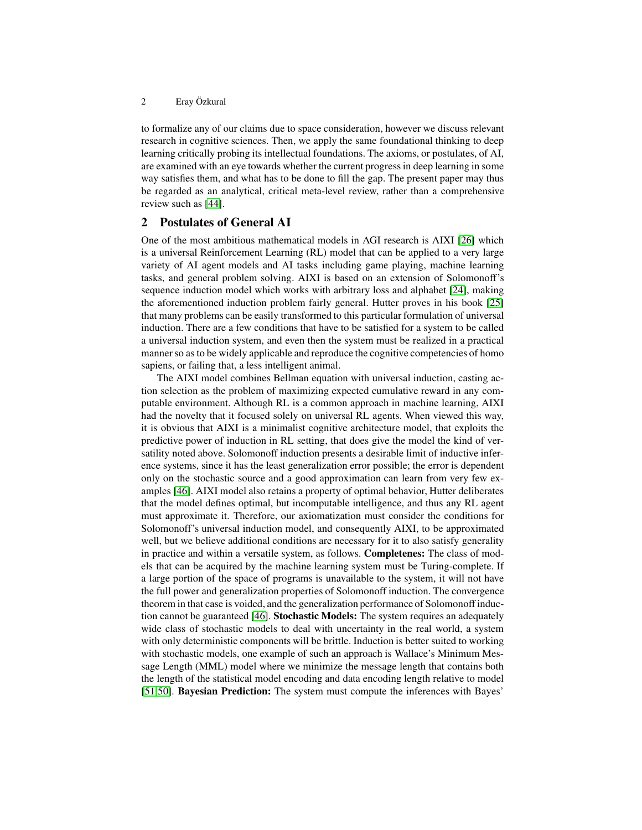to formalize any of our claims due to space consideration, however we discuss relevant research in cognitive sciences. Then, we apply the same foundational thinking to deep learning critically probing its intellectual foundations. The axioms, or postulates, of AI, are examined with an eye towards whether the current progress in deep learning in some way satisfies them, and what has to be done to fill the gap. The present paper may thus be regarded as an analytical, critical meta-level review, rather than a comprehensive review such as [\[44\]](#page-9-0).

## 2 Postulates of General AI

One of the most ambitious mathematical models in AGI research is AIXI [\[26\]](#page-8-6) which is a universal Reinforcement Learning (RL) model that can be applied to a very large variety of AI agent models and AI tasks including game playing, machine learning tasks, and general problem solving. AIXI is based on an extension of Solomonoff's sequence induction model which works with arbitrary loss and alphabet [\[24\]](#page-8-7), making the aforementioned induction problem fairly general. Hutter proves in his book [\[25\]](#page-8-8) that many problems can be easily transformed to this particular formulation of universal induction. There are a few conditions that have to be satisfied for a system to be called a universal induction system, and even then the system must be realized in a practical manner so as to be widely applicable and reproduce the cognitive competencies of homo sapiens, or failing that, a less intelligent animal.

The AIXI model combines Bellman equation with universal induction, casting action selection as the problem of maximizing expected cumulative reward in any computable environment. Although RL is a common approach in machine learning, AIXI had the novelty that it focused solely on universal RL agents. When viewed this way, it is obvious that AIXI is a minimalist cognitive architecture model, that exploits the predictive power of induction in RL setting, that does give the model the kind of versatility noted above. Solomonoff induction presents a desirable limit of inductive inference systems, since it has the least generalization error possible; the error is dependent only on the stochastic source and a good approximation can learn from very few examples [\[46\]](#page-9-2). AIXI model also retains a property of optimal behavior, Hutter deliberates that the model defines optimal, but incomputable intelligence, and thus any RL agent must approximate it. Therefore, our axiomatization must consider the conditions for Solomonoff's universal induction model, and consequently AIXI, to be approximated well, but we believe additional conditions are necessary for it to also satisfy generality in practice and within a versatile system, as follows. Completenes: The class of models that can be acquired by the machine learning system must be Turing-complete. If a large portion of the space of programs is unavailable to the system, it will not have the full power and generalization properties of Solomonoff induction. The convergence theorem in that case is voided, and the generalization performance of Solomonoff induction cannot be guaranteed [\[46\]](#page-9-2). Stochastic Models: The system requires an adequately wide class of stochastic models to deal with uncertainty in the real world, a system with only deterministic components will be brittle. Induction is better suited to working with stochastic models, one example of such an approach is Wallace's Minimum Message Length (MML) model where we minimize the message length that contains both the length of the statistical model encoding and data encoding length relative to model [\[51,](#page-9-3)[50\]](#page-9-4). Bayesian Prediction: The system must compute the inferences with Bayes'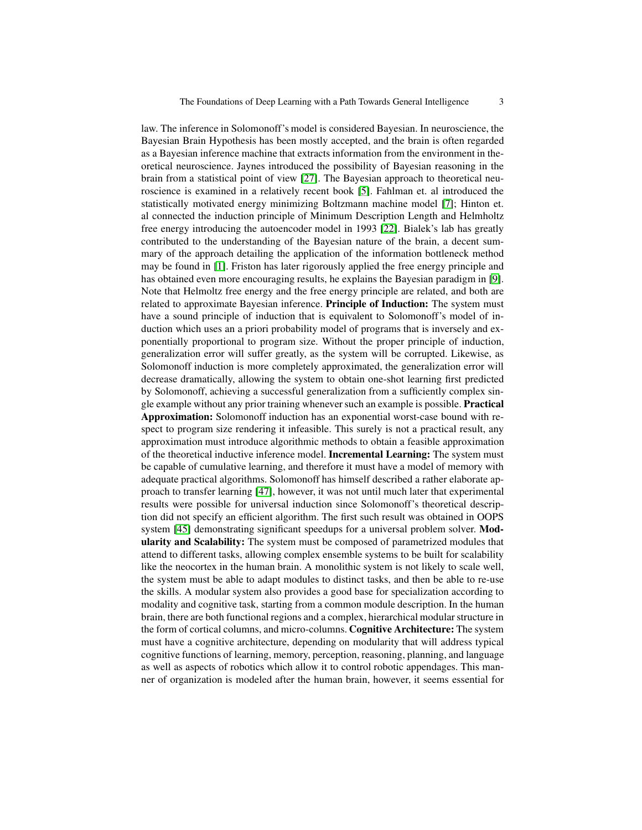law. The inference in Solomonoff's model is considered Bayesian. In neuroscience, the Bayesian Brain Hypothesis has been mostly accepted, and the brain is often regarded as a Bayesian inference machine that extracts information from the environment in theoretical neuroscience. Jaynes introduced the possibility of Bayesian reasoning in the brain from a statistical point of view [\[27\]](#page-8-9). The Bayesian approach to theoretical neuroscience is examined in a relatively recent book [\[5\]](#page-7-4). Fahlman et. al introduced the statistically motivated energy minimizing Boltzmann machine model [\[7\]](#page-7-5); Hinton et. al connected the induction principle of Minimum Description Length and Helmholtz free energy introducing the autoencoder model in 1993 [\[22\]](#page-8-10). Bialek's lab has greatly contributed to the understanding of the Bayesian nature of the brain, a decent summary of the approach detailing the application of the information bottleneck method may be found in [\[1\]](#page-7-6). Friston has later rigorously applied the free energy principle and has obtained even more encouraging results, he explains the Bayesian paradigm in [\[9\]](#page-7-7). Note that Helmoltz free energy and the free energy principle are related, and both are related to approximate Bayesian inference. Principle of Induction: The system must have a sound principle of induction that is equivalent to Solomonoff's model of induction which uses an a priori probability model of programs that is inversely and exponentially proportional to program size. Without the proper principle of induction, generalization error will suffer greatly, as the system will be corrupted. Likewise, as Solomonoff induction is more completely approximated, the generalization error will decrease dramatically, allowing the system to obtain one-shot learning first predicted by Solomonoff, achieving a successful generalization from a sufficiently complex single example without any prior training whenever such an example is possible. Practical Approximation: Solomonoff induction has an exponential worst-case bound with respect to program size rendering it infeasible. This surely is not a practical result, any approximation must introduce algorithmic methods to obtain a feasible approximation of the theoretical inductive inference model. Incremental Learning: The system must be capable of cumulative learning, and therefore it must have a model of memory with adequate practical algorithms. Solomonoff has himself described a rather elaborate approach to transfer learning [\[47\]](#page-9-5), however, it was not until much later that experimental results were possible for universal induction since Solomonoff's theoretical description did not specify an efficient algorithm. The first such result was obtained in OOPS system [\[45\]](#page-9-6) demonstrating significant speedups for a universal problem solver. Modularity and Scalability: The system must be composed of parametrized modules that attend to different tasks, allowing complex ensemble systems to be built for scalability like the neocortex in the human brain. A monolithic system is not likely to scale well, the system must be able to adapt modules to distinct tasks, and then be able to re-use the skills. A modular system also provides a good base for specialization according to modality and cognitive task, starting from a common module description. In the human brain, there are both functional regions and a complex, hierarchical modular structure in the form of cortical columns, and micro-columns. Cognitive Architecture: The system must have a cognitive architecture, depending on modularity that will address typical cognitive functions of learning, memory, perception, reasoning, planning, and language as well as aspects of robotics which allow it to control robotic appendages. This manner of organization is modeled after the human brain, however, it seems essential for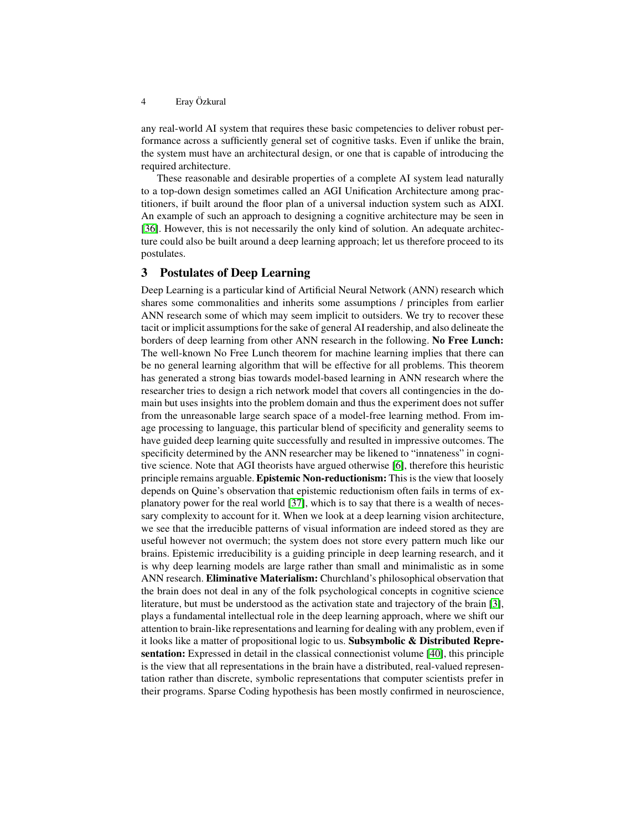any real-world AI system that requires these basic competencies to deliver robust performance across a sufficiently general set of cognitive tasks. Even if unlike the brain, the system must have an architectural design, or one that is capable of introducing the required architecture.

These reasonable and desirable properties of a complete AI system lead naturally to a top-down design sometimes called an AGI Unification Architecture among practitioners, if built around the floor plan of a universal induction system such as AIXI. An example of such an approach to designing a cognitive architecture may be seen in [\[36\]](#page-9-7). However, this is not necessarily the only kind of solution. An adequate architecture could also be built around a deep learning approach; let us therefore proceed to its postulates.

# 3 Postulates of Deep Learning

Deep Learning is a particular kind of Artificial Neural Network (ANN) research which shares some commonalities and inherits some assumptions / principles from earlier ANN research some of which may seem implicit to outsiders. We try to recover these tacit or implicit assumptions for the sake of general AI readership, and also delineate the borders of deep learning from other ANN research in the following. No Free Lunch: The well-known No Free Lunch theorem for machine learning implies that there can be no general learning algorithm that will be effective for all problems. This theorem has generated a strong bias towards model-based learning in ANN research where the researcher tries to design a rich network model that covers all contingencies in the domain but uses insights into the problem domain and thus the experiment does not suffer from the unreasonable large search space of a model-free learning method. From image processing to language, this particular blend of specificity and generality seems to have guided deep learning quite successfully and resulted in impressive outcomes. The specificity determined by the ANN researcher may be likened to "innateness" in cognitive science. Note that AGI theorists have argued otherwise [\[6\]](#page-7-8), therefore this heuristic principle remains arguable. Epistemic Non-reductionism: This is the view that loosely depends on Quine's observation that epistemic reductionism often fails in terms of explanatory power for the real world [\[37\]](#page-9-8), which is to say that there is a wealth of necessary complexity to account for it. When we look at a deep learning vision architecture, we see that the irreducible patterns of visual information are indeed stored as they are useful however not overmuch; the system does not store every pattern much like our brains. Epistemic irreducibility is a guiding principle in deep learning research, and it is why deep learning models are large rather than small and minimalistic as in some ANN research. Eliminative Materialism: Churchland's philosophical observation that the brain does not deal in any of the folk psychological concepts in cognitive science literature, but must be understood as the activation state and trajectory of the brain [\[3\]](#page-7-9), plays a fundamental intellectual role in the deep learning approach, where we shift our attention to brain-like representations and learning for dealing with any problem, even if it looks like a matter of propositional logic to us. Subsymbolic & Distributed Representation: Expressed in detail in the classical connectionist volume [\[40\]](#page-9-9), this principle is the view that all representations in the brain have a distributed, real-valued representation rather than discrete, symbolic representations that computer scientists prefer in their programs. Sparse Coding hypothesis has been mostly confirmed in neuroscience,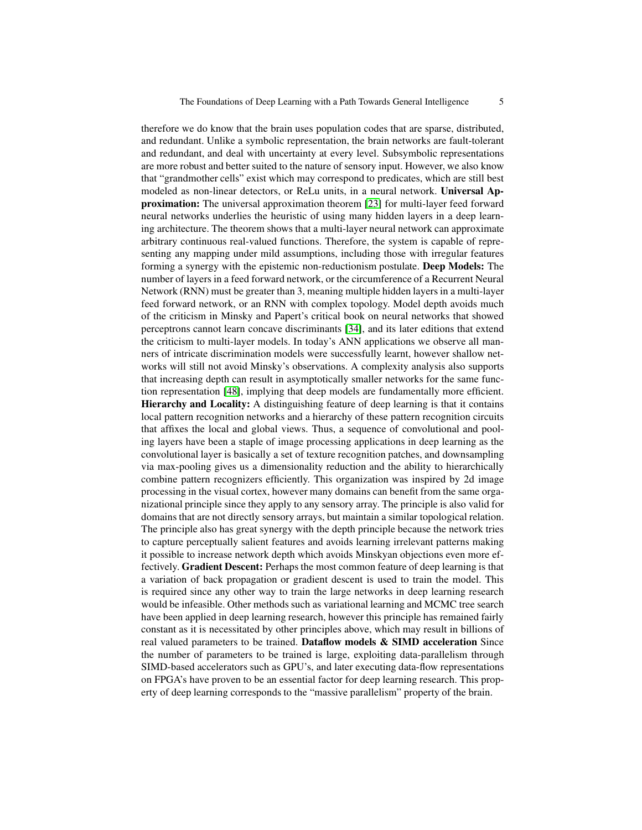therefore we do know that the brain uses population codes that are sparse, distributed, and redundant. Unlike a symbolic representation, the brain networks are fault-tolerant and redundant, and deal with uncertainty at every level. Subsymbolic representations are more robust and better suited to the nature of sensory input. However, we also know that "grandmother cells" exist which may correspond to predicates, which are still best modeled as non-linear detectors, or ReLu units, in a neural network. Universal Approximation: The universal approximation theorem [\[23\]](#page-8-11) for multi-layer feed forward neural networks underlies the heuristic of using many hidden layers in a deep learning architecture. The theorem shows that a multi-layer neural network can approximate arbitrary continuous real-valued functions. Therefore, the system is capable of representing any mapping under mild assumptions, including those with irregular features forming a synergy with the epistemic non-reductionism postulate. Deep Models: The number of layers in a feed forward network, or the circumference of a Recurrent Neural Network (RNN) must be greater than 3, meaning multiple hidden layers in a multi-layer feed forward network, or an RNN with complex topology. Model depth avoids much of the criticism in Minsky and Papert's critical book on neural networks that showed perceptrons cannot learn concave discriminants [\[34\]](#page-9-10), and its later editions that extend the criticism to multi-layer models. In today's ANN applications we observe all manners of intricate discrimination models were successfully learnt, however shallow networks will still not avoid Minsky's observations. A complexity analysis also supports that increasing depth can result in asymptotically smaller networks for the same function representation [48], implying that deep models are fundamentally more efficient. Hierarchy and Locality: A distinguishing feature of deep learning is that it contains local pattern recognition networks and a hierarchy of these pattern recognition circuits that affixes the local and global views. Thus, a sequence of convolutional and pooling layers have been a staple of image processing applications in deep learning as the convolutional layer is basically a set of texture recognition patches, and downsampling via max-pooling gives us a dimensionality reduction and the ability to hierarchically combine pattern recognizers efficiently. This organization was inspired by 2d image processing in the visual cortex, however many domains can benefit from the same organizational principle since they apply to any sensory array. The principle is also valid for domains that are not directly sensory arrays, but maintain a similar topological relation. The principle also has great synergy with the depth principle because the network tries to capture perceptually salient features and avoids learning irrelevant patterns making it possible to increase network depth which avoids Minskyan objections even more effectively. Gradient Descent: Perhaps the most common feature of deep learning is that a variation of back propagation or gradient descent is used to train the model. This is required since any other way to train the large networks in deep learning research would be infeasible. Other methods such as variational learning and MCMC tree search have been applied in deep learning research, however this principle has remained fairly constant as it is necessitated by other principles above, which may result in billions of real valued parameters to be trained. Dataflow models  $\&$  SIMD acceleration Since the number of parameters to be trained is large, exploiting data-parallelism through SIMD-based accelerators such as GPU's, and later executing data-flow representations on FPGA's have proven to be an essential factor for deep learning research. This property of deep learning corresponds to the "massive parallelism" property of the brain.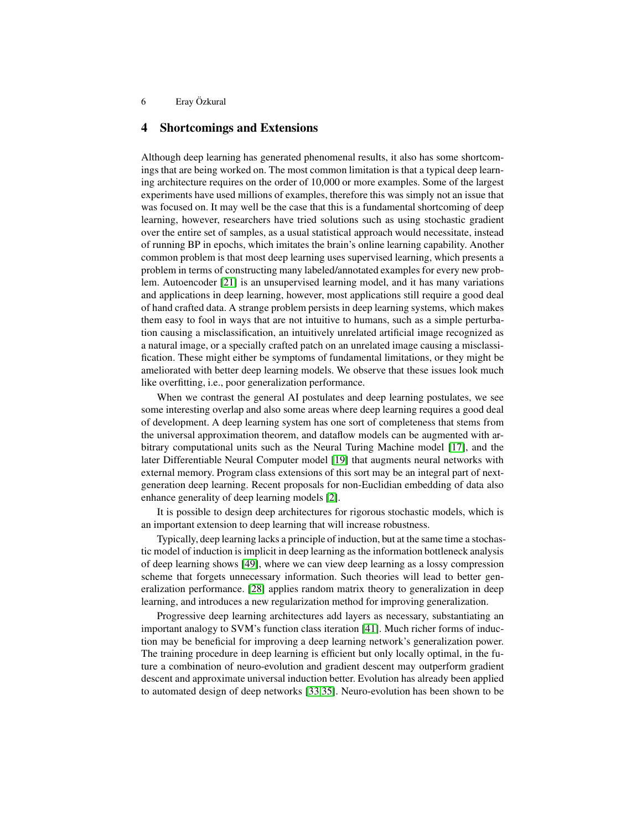### 6 Eray Özkural

# 4 Shortcomings and Extensions

Although deep learning has generated phenomenal results, it also has some shortcomings that are being worked on. The most common limitation is that a typical deep learning architecture requires on the order of 10,000 or more examples. Some of the largest experiments have used millions of examples, therefore this was simply not an issue that was focused on. It may well be the case that this is a fundamental shortcoming of deep learning, however, researchers have tried solutions such as using stochastic gradient over the entire set of samples, as a usual statistical approach would necessitate, instead of running BP in epochs, which imitates the brain's online learning capability. Another common problem is that most deep learning uses supervised learning, which presents a problem in terms of constructing many labeled/annotated examples for every new problem. Autoencoder [\[21\]](#page-8-12) is an unsupervised learning model, and it has many variations and applications in deep learning, however, most applications still require a good deal of hand crafted data. A strange problem persists in deep learning systems, which makes them easy to fool in ways that are not intuitive to humans, such as a simple perturbation causing a misclassification, an intuitively unrelated artificial image recognized as a natural image, or a specially crafted patch on an unrelated image causing a misclassification. These might either be symptoms of fundamental limitations, or they might be ameliorated with better deep learning models. We observe that these issues look much like overfitting, i.e., poor generalization performance.

When we contrast the general AI postulates and deep learning postulates, we see some interesting overlap and also some areas where deep learning requires a good deal of development. A deep learning system has one sort of completeness that stems from the universal approximation theorem, and dataflow models can be augmented with arbitrary computational units such as the Neural Turing Machine model [\[17\]](#page-8-13), and the later Differentiable Neural Computer model [\[19\]](#page-8-14) that augments neural networks with external memory. Program class extensions of this sort may be an integral part of nextgeneration deep learning. Recent proposals for non-Euclidian embedding of data also enhance generality of deep learning models [\[2\]](#page-7-10).

It is possible to design deep architectures for rigorous stochastic models, which is an important extension to deep learning that will increase robustness.

Typically, deep learning lacks a principle of induction, but at the same time a stochastic model of induction is implicit in deep learning as the information bottleneck analysis of deep learning shows [49], where we can view deep learning as a lossy compression scheme that forgets unnecessary information. Such theories will lead to better generalization performance. [\[28\]](#page-8-15) applies random matrix theory to generalization in deep learning, and introduces a new regularization method for improving generalization.

Progressive deep learning architectures add layers as necessary, substantiating an important analogy to SVM's function class iteration [\[41\]](#page-9-11). Much richer forms of induction may be beneficial for improving a deep learning network's generalization power. The training procedure in deep learning is efficient but only locally optimal, in the future a combination of neuro-evolution and gradient descent may outperform gradient descent and approximate universal induction better. Evolution has already been applied to automated design of deep networks [\[33](#page-8-16)[,35\]](#page-9-12). Neuro-evolution has been shown to be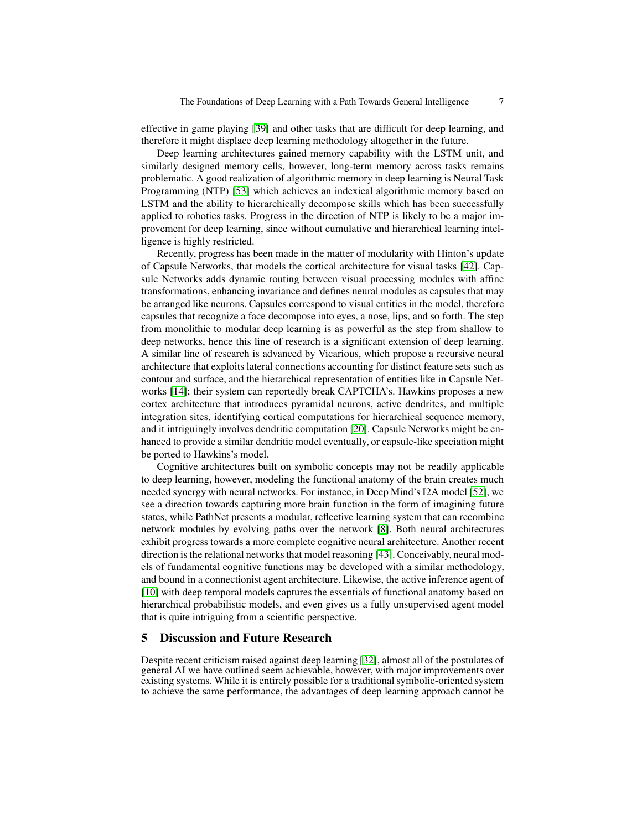effective in game playing [39] and other tasks that are difficult for deep learning, and therefore it might displace deep learning methodology altogether in the future.

Deep learning architectures gained memory capability with the LSTM unit, and similarly designed memory cells, however, long-term memory across tasks remains problematic. A good realization of algorithmic memory in deep learning is Neural Task Programming (NTP) [\[53\]](#page-9-13) which achieves an indexical algorithmic memory based on LSTM and the ability to hierarchically decompose skills which has been successfully applied to robotics tasks. Progress in the direction of NTP is likely to be a major improvement for deep learning, since without cumulative and hierarchical learning intelligence is highly restricted.

Recently, progress has been made in the matter of modularity with Hinton's update of Capsule Networks, that models the cortical architecture for visual tasks [42]. Capsule Networks adds dynamic routing between visual processing modules with affine transformations, enhancing invariance and defines neural modules as capsules that may be arranged like neurons. Capsules correspond to visual entities in the model, therefore capsules that recognize a face decompose into eyes, a nose, lips, and so forth. The step from monolithic to modular deep learning is as powerful as the step from shallow to deep networks, hence this line of research is a significant extension of deep learning. A similar line of research is advanced by Vicarious, which propose a recursive neural architecture that exploits lateral connections accounting for distinct feature sets such as contour and surface, and the hierarchical representation of entities like in Capsule Networks [\[14\]](#page-7-11); their system can reportedly break CAPTCHA's. Hawkins proposes a new cortex architecture that introduces pyramidal neurons, active dendrites, and multiple integration sites, identifying cortical computations for hierarchical sequence memory, and it intriguingly involves dendritic computation [\[20\]](#page-8-17). Capsule Networks might be enhanced to provide a similar dendritic model eventually, or capsule-like speciation might be ported to Hawkins's model.

Cognitive architectures built on symbolic concepts may not be readily applicable to deep learning, however, modeling the functional anatomy of the brain creates much needed synergy with neural networks. For instance, in Deep Mind's I2A model [\[52\]](#page-9-14), we see a direction towards capturing more brain function in the form of imagining future states, while PathNet presents a modular, reflective learning system that can recombine network modules by evolving paths over the network [\[8\]](#page-7-12). Both neural architectures exhibit progress towards a more complete cognitive neural architecture. Another recent direction is the relational networks that model reasoning [43]. Conceivably, neural models of fundamental cognitive functions may be developed with a similar methodology, and bound in a connectionist agent architecture. Likewise, the active inference agent of [\[10\]](#page-7-13) with deep temporal models captures the essentials of functional anatomy based on hierarchical probabilistic models, and even gives us a fully unsupervised agent model that is quite intriguing from a scientific perspective.

### 5 Discussion and Future Research

Despite recent criticism raised against deep learning [\[32\]](#page-8-18), almost all of the postulates of general AI we have outlined seem achievable, however, with major improvements over existing systems. While it is entirely possible for a traditional symbolic-oriented system to achieve the same performance, the advantages of deep learning approach cannot be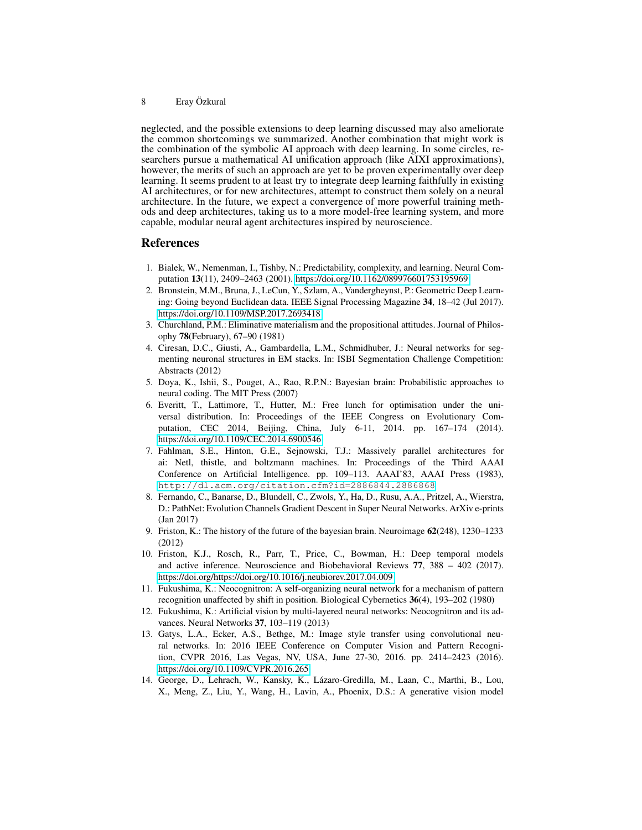#### 8 Eray Özkural

neglected, and the possible extensions to deep learning discussed may also ameliorate the common shortcomings we summarized. Another combination that might work is the combination of the symbolic AI approach with deep learning. In some circles, researchers pursue a mathematical AI unification approach (like AIXI approximations), however, the merits of such an approach are yet to be proven experimentally over deep learning. It seems prudent to at least try to integrate deep learning faithfully in existing AI architectures, or for new architectures, attempt to construct them solely on a neural architecture. In the future, we expect a convergence of more powerful training methods and deep architectures, taking us to a more model-free learning system, and more capable, modular neural agent architectures inspired by neuroscience.

#### <span id="page-7-6"></span>References

- 1. Bialek, W., Nemenman, I., Tishby, N.: Predictability, complexity, and learning. Neural Computation 13(11), 2409–2463 (2001).<https://doi.org/10.1162/089976601753195969>
- <span id="page-7-10"></span>2. Bronstein, M.M., Bruna, J., LeCun, Y., Szlam, A., Vandergheynst, P.: Geometric Deep Learning: Going beyond Euclidean data. IEEE Signal Processing Magazine 34, 18–42 (Jul 2017). <https://doi.org/10.1109/MSP.2017.2693418>
- <span id="page-7-9"></span>3. Churchland, P.M.: Eliminative materialism and the propositional attitudes. Journal of Philosophy 78(February), 67–90 (1981)
- <span id="page-7-2"></span>4. Ciresan, D.C., Giusti, A., Gambardella, L.M., Schmidhuber, J.: Neural networks for segmenting neuronal structures in EM stacks. In: ISBI Segmentation Challenge Competition: Abstracts (2012)
- <span id="page-7-4"></span>5. Doya, K., Ishii, S., Pouget, A., Rao, R.P.N.: Bayesian brain: Probabilistic approaches to neural coding. The MIT Press (2007)
- <span id="page-7-8"></span>6. Everitt, T., Lattimore, T., Hutter, M.: Free lunch for optimisation under the universal distribution. In: Proceedings of the IEEE Congress on Evolutionary Computation, CEC 2014, Beijing, China, July 6-11, 2014. pp. 167–174 (2014). <https://doi.org/10.1109/CEC.2014.6900546>
- <span id="page-7-5"></span>7. Fahlman, S.E., Hinton, G.E., Sejnowski, T.J.: Massively parallel architectures for ai: Netl, thistle, and boltzmann machines. In: Proceedings of the Third AAAI Conference on Artificial Intelligence. pp. 109–113. AAAI'83, AAAI Press (1983), <http://dl.acm.org/citation.cfm?id=2886844.2886868>
- <span id="page-7-12"></span>8. Fernando, C., Banarse, D., Blundell, C., Zwols, Y., Ha, D., Rusu, A.A., Pritzel, A., Wierstra, D.: PathNet: Evolution Channels Gradient Descent in Super Neural Networks. ArXiv e-prints (Jan 2017)
- <span id="page-7-7"></span>9. Friston, K.: The history of the future of the bayesian brain. Neuroimage 62(248), 1230–1233 (2012)
- <span id="page-7-13"></span>10. Friston, K.J., Rosch, R., Parr, T., Price, C., Bowman, H.: Deep temporal models and active inference. Neuroscience and Biobehavioral Reviews 77, 388 – 402 (2017). <https://doi.org/https://doi.org/10.1016/j.neubiorev.2017.04.009>
- <span id="page-7-0"></span>11. Fukushima, K.: Neocognitron: A self-organizing neural network for a mechanism of pattern recognition unaffected by shift in position. Biological Cybernetics 36(4), 193–202 (1980)
- <span id="page-7-1"></span>12. Fukushima, K.: Artificial vision by multi-layered neural networks: Neocognitron and its advances. Neural Networks 37, 103–119 (2013)
- <span id="page-7-3"></span>13. Gatys, L.A., Ecker, A.S., Bethge, M.: Image style transfer using convolutional neural networks. In: 2016 IEEE Conference on Computer Vision and Pattern Recognition, CVPR 2016, Las Vegas, NV, USA, June 27-30, 2016. pp. 2414–2423 (2016). <https://doi.org/10.1109/CVPR.2016.265>
- <span id="page-7-11"></span>14. George, D., Lehrach, W., Kansky, K., L´azaro-Gredilla, M., Laan, C., Marthi, B., Lou, X., Meng, Z., Liu, Y., Wang, H., Lavin, A., Phoenix, D.S.: A generative vision model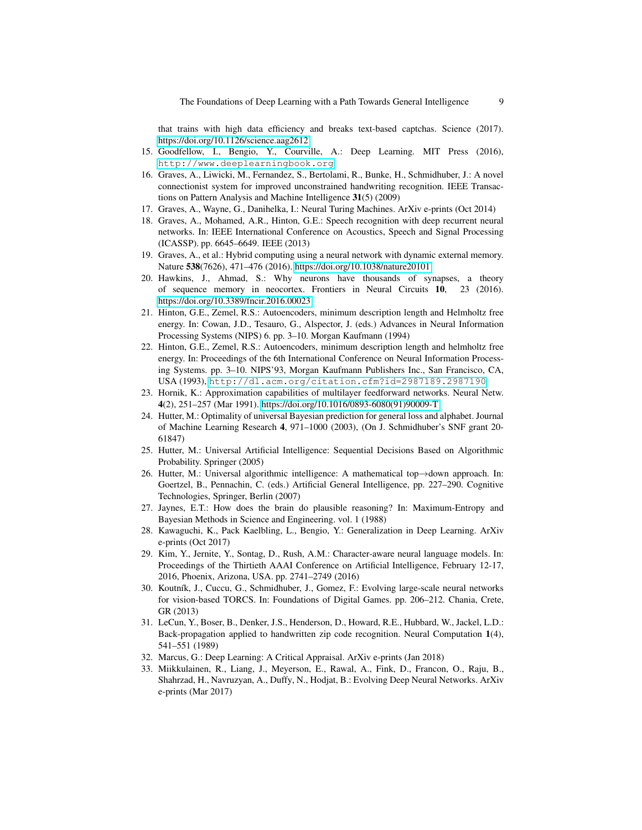that trains with high data efficiency and breaks text-based captchas. Science (2017). <https://doi.org/10.1126/science.aag2612>

- <span id="page-8-2"></span><span id="page-8-0"></span>15. Goodfellow, I., Bengio, Y., Courville, A.: Deep Learning. MIT Press (2016), <http://www.deeplearningbook.org>
- 16. Graves, A., Liwicki, M., Fernandez, S., Bertolami, R., Bunke, H., Schmidhuber, J.: A novel connectionist system for improved unconstrained handwriting recognition. IEEE Transactions on Pattern Analysis and Machine Intelligence 31(5) (2009)
- <span id="page-8-13"></span><span id="page-8-3"></span>17. Graves, A., Wayne, G., Danihelka, I.: Neural Turing Machines. ArXiv e-prints (Oct 2014)
- 18. Graves, A., Mohamed, A.R., Hinton, G.E.: Speech recognition with deep recurrent neural networks. In: IEEE International Conference on Acoustics, Speech and Signal Processing (ICASSP). pp. 6645–6649. IEEE (2013)
- <span id="page-8-14"></span>19. Graves, A., et al.: Hybrid computing using a neural network with dynamic external memory. Nature 538(7626), 471–476 (2016).<https://doi.org/10.1038/nature20101>
- <span id="page-8-17"></span>20. Hawkins, J., Ahmad, S.: Why neurons have thousands of synapses, a theory of sequence memory in neocortex. Frontiers in Neural Circuits 10, 23 (2016). <https://doi.org/10.3389/fncir.2016.00023>
- <span id="page-8-12"></span>21. Hinton, G.E., Zemel, R.S.: Autoencoders, minimum description length and Helmholtz free energy. In: Cowan, J.D., Tesauro, G., Alspector, J. (eds.) Advances in Neural Information Processing Systems (NIPS) 6. pp. 3–10. Morgan Kaufmann (1994)
- <span id="page-8-10"></span>22. Hinton, G.E., Zemel, R.S.: Autoencoders, minimum description length and helmholtz free energy. In: Proceedings of the 6th International Conference on Neural Information Processing Systems. pp. 3–10. NIPS'93, Morgan Kaufmann Publishers Inc., San Francisco, CA, USA (1993), <http://dl.acm.org/citation.cfm?id=2987189.2987190>
- <span id="page-8-11"></span>23. Hornik, K.: Approximation capabilities of multilayer feedforward networks. Neural Netw. 4(2), 251–257 (Mar 1991). [https://doi.org/10.1016/0893-6080\(91\)90009-T](https://doi.org/10.1016/0893-6080(91)90009-T)
- <span id="page-8-7"></span>24. Hutter, M.: Optimality of universal Bayesian prediction for general loss and alphabet. Journal of Machine Learning Research 4, 971–1000 (2003), (On J. Schmidhuber's SNF grant 20- 61847)
- <span id="page-8-8"></span>25. Hutter, M.: Universal Artificial Intelligence: Sequential Decisions Based on Algorithmic Probability. Springer (2005)
- <span id="page-8-6"></span>26. Hutter, M.: Universal algorithmic intelligence: A mathematical top→down approach. In: Goertzel, B., Pennachin, C. (eds.) Artificial General Intelligence, pp. 227–290. Cognitive Technologies, Springer, Berlin (2007)
- <span id="page-8-9"></span>27. Jaynes, E.T.: How does the brain do plausible reasoning? In: Maximum-Entropy and Bayesian Methods in Science and Engineering. vol. 1 (1988)
- <span id="page-8-15"></span>28. Kawaguchi, K., Pack Kaelbling, L., Bengio, Y.: Generalization in Deep Learning. ArXiv e-prints (Oct 2017)
- <span id="page-8-4"></span>29. Kim, Y., Jernite, Y., Sontag, D., Rush, A.M.: Character-aware neural language models. In: Proceedings of the Thirtieth AAAI Conference on Artificial Intelligence, February 12-17, 2016, Phoenix, Arizona, USA. pp. 2741–2749 (2016)
- <span id="page-8-5"></span>30. Koutník, J., Cuccu, G., Schmidhuber, J., Gomez, F.: Evolving large-scale neural networks for vision-based TORCS. In: Foundations of Digital Games. pp. 206–212. Chania, Crete, GR (2013)
- <span id="page-8-1"></span>31. LeCun, Y., Boser, B., Denker, J.S., Henderson, D., Howard, R.E., Hubbard, W., Jackel, L.D.: Back-propagation applied to handwritten zip code recognition. Neural Computation 1(4), 541–551 (1989)
- <span id="page-8-18"></span><span id="page-8-16"></span>32. Marcus, G.: Deep Learning: A Critical Appraisal. ArXiv e-prints (Jan 2018)
- 33. Miikkulainen, R., Liang, J., Meyerson, E., Rawal, A., Fink, D., Francon, O., Raju, B., Shahrzad, H., Navruzyan, A., Duffy, N., Hodjat, B.: Evolving Deep Neural Networks. ArXiv e-prints (Mar 2017)